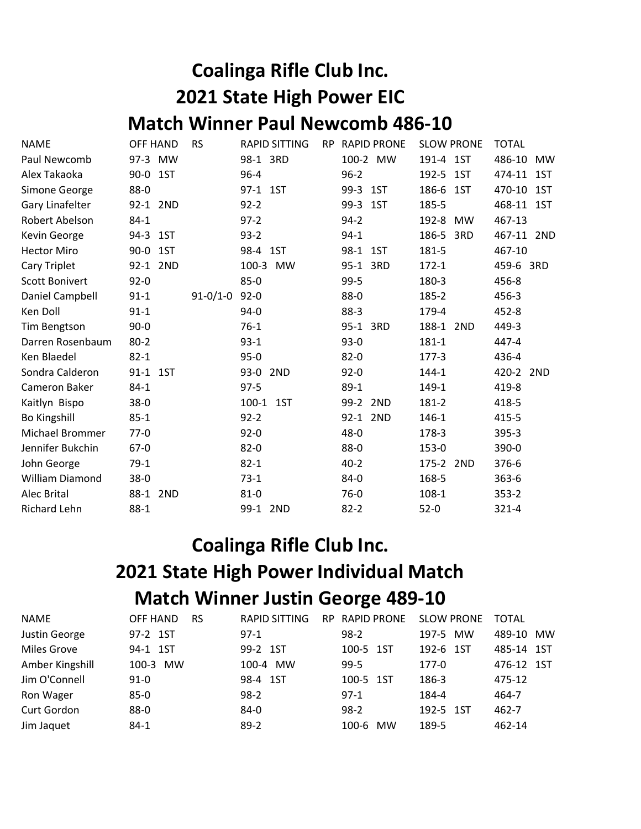## Coalinga Rifle Club Inc. 2021 State High Power EIC Match Winner Paul Newcomb 486-10

| <b>NAME</b>            | <b>OFF HAND</b> | <b>RS</b>      | <b>RAPID SITTING</b> | <b>RP</b> | <b>RAPID PRONE</b> | <b>SLOW PRONE</b> | <b>TOTAL</b>  |
|------------------------|-----------------|----------------|----------------------|-----------|--------------------|-------------------|---------------|
| Paul Newcomb           | 97-3 MW         |                | 98-1 3RD             |           | 100-2 MW           | 191-4 1ST         | 486-10<br>MW  |
| Alex Takaoka           | 90-0 1ST        |                | $96 - 4$             |           | $96 - 2$           | 192-5 1ST         | 474-11 1ST    |
| Simone George          | 88-0            |                | 97-1 1ST             |           | 99-3 1ST           | 186-6 1ST         | 470-10<br>1ST |
| Gary Linafelter        | 92-1 2ND        |                | $92 - 2$             |           | 99-3 1ST           | 185-5             | 468-11 1ST    |
| Robert Abelson         | $84 - 1$        |                | $97-2$               |           | $94 - 2$           | 192-8 MW          | 467-13        |
| Kevin George           | 94-3 1ST        |                | $93-2$               |           | $94-1$             | 186-5 3RD         | 467-11 2ND    |
| <b>Hector Miro</b>     | 90-0 1ST        |                | 98-4 1ST             |           | 98-1 1ST           | 181-5             | 467-10        |
| Cary Triplet           | 92-1 2ND        |                | 100-3 MW             |           | 95-1 3RD           | $172 - 1$         | 459-6 3RD     |
| <b>Scott Bonivert</b>  | $92 - 0$        |                | $85-0$               |           | $99 - 5$           | 180-3             | 456-8         |
| Daniel Campbell        | $91 - 1$        | $91 - 0/1 - 0$ | $92 - 0$             |           | 88-0               | 185-2             | 456-3         |
| Ken Doll               | $91 - 1$        |                | $94-0$               |           | $88-3$             | 179-4             | 452-8         |
| <b>Tim Bengtson</b>    | $90 - 0$        |                | $76-1$               |           | 95-1 3RD           | 188-1 2ND         | 449-3         |
| Darren Rosenbaum       | $80 - 2$        |                | $93-1$               |           | $93-0$             | 181-1             | 447-4         |
| Ken Blaedel            | $82 - 1$        |                | $95-0$               |           | $82 - 0$           | $177-3$           | 436-4         |
| Sondra Calderon        | 91-1 1ST        |                | 93-0 2ND             |           | $92 - 0$           | 144-1             | 420-2 2ND     |
| Cameron Baker          | $84-1$          |                | $97-5$               |           | $89-1$             | 149-1             | 419-8         |
| Kaitlyn Bispo          | $38-0$          |                | 100-1 1ST            |           | 99-2 2ND           | 181-2             | 418-5         |
| Bo Kingshill           | $85 - 1$        |                | $92 - 2$             |           | 92-1 2ND           | 146-1             | 415-5         |
| <b>Michael Brommer</b> | $77-0$          |                | $92 - 0$             |           | $48 - 0$           | 178-3             | 395-3         |
| Jennifer Bukchin       | $67-0$          |                | $82 - 0$             |           | 88-0               | 153-0             | 390-0         |
| John George            | $79-1$          |                | $82 - 1$             |           | $40 - 2$           | 175-2 2ND         | 376-6         |
| William Diamond        | $38 - 0$        |                | $73-1$               |           | 84-0               | 168-5             | $363 - 6$     |
| Alec Brital            | 88-1 2ND        |                | $81 - 0$             |           | $76-0$             | 108-1             | $353 - 2$     |
| Richard Lehn           | $88-1$          |                | 99-1 2ND             |           | $82 - 2$           | $52-0$            | $321 - 4$     |

## Coalinga Rifle Club Inc. 2021 State High Power Individual Match Match Winner Justin George 489-10

| <b>NAME</b>        | OFF HAND<br><b>RS</b> | <b>RAPID SITTING</b><br>RP. | <b>RAPID PRONE</b> | <b>SLOW PRONE</b> | TOTAL      |
|--------------------|-----------------------|-----------------------------|--------------------|-------------------|------------|
| Justin George      | 97-2 1ST              | $97-1$                      | $98-2$             | 197-5 MW          | 489-10 MW  |
| <b>Miles Grove</b> | 94-1 1ST              | 99-2 1ST                    | 100-5 1ST          | 192-6 1ST         | 485-14 1ST |
| Amber Kingshill    | 100-3 MW              | 100-4 MW                    | $99 - 5$           | $177-0$           | 476-12 1ST |
| Jim O'Connell      | $91 - 0$              | 98-4 1ST                    | 100-5 1ST          | 186-3             | 475-12     |
| Ron Wager          | $85 - 0$              | $98-2$                      | $97-1$             | 184-4             | 464-7      |
| Curt Gordon        | $88 - 0$              | 84-0                        | $98-2$             | 192-5 1ST         | 462-7      |
| Jim Jaquet         | $84-1$                | $89-2$                      | 100-6<br><b>MW</b> | 189-5             | 462-14     |